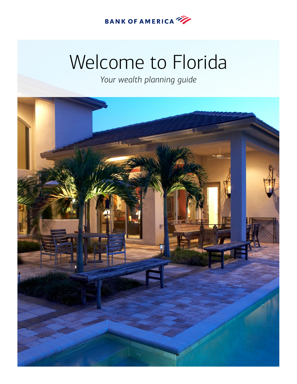

# Welcome to Florida

*Your wealth planning guide*

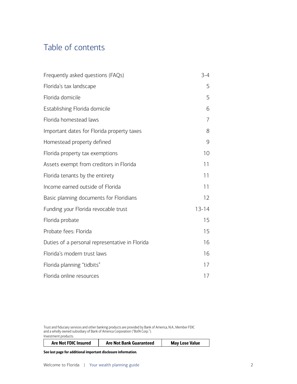# <span id="page-1-0"></span>Table of contents

| Frequently asked questions (FAQs)              | $3 - 4$   |
|------------------------------------------------|-----------|
| Florida's tax landscape                        | 5         |
| Florida domicile                               | 5         |
| Establishing Florida domicile                  | 6         |
| Florida homestead laws                         | 7         |
| Important dates for Florida property taxes     | 8         |
| Homestead property defined                     | 9         |
| Florida property tax exemptions                | 10        |
| Assets exempt from creditors in Florida        | 11        |
| Florida tenants by the entirety                | 11        |
| Income earned outside of Florida               | 11        |
| Basic planning documents for Floridians        | 12        |
| Funding your Florida revocable trust           | $13 - 14$ |
| Florida probate                                | 15        |
| Probate fees: Florida                          | 15        |
| Duties of a personal representative in Florida | 16        |
| Florida's modern trust laws                    | 16        |
| Florida planning "tidbits"                     | 17        |
| Florida online resources                       | 17        |

Trust and fiduciary services and other banking products are provided by Bank of America, N.A., Member FDIC and a wholly owned subsidiary of Bank of America Corporation ("BofA Corp."). Investment products:

|  | <b>Are Not FDIC Insured</b> | <b>Are Not Bank Guaranteed</b> | <b>May Lose Value</b> |
|--|-----------------------------|--------------------------------|-----------------------|
|--|-----------------------------|--------------------------------|-----------------------|

See last page for additional important disclosure information.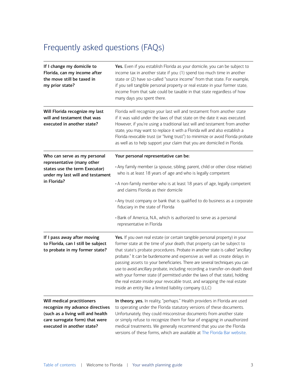# <span id="page-2-0"></span>Frequently asked questions (FAQs)

| If I change my domicile to<br>Florida, can my income after<br>the move still be taxed in<br>my prior state?                                                        | Yes. Even if you establish Florida as your domicile, you can be subject to<br>income tax in another state if you: (1) spend too much time in another<br>state or (2) have so-called "source income" from that state. For example,<br>if you sell tangible personal property or real estate in your former state,<br>income from that sale could be taxable in that state regardless of how<br>many days you spent there.                                                                                                                                                                                                                                                                                  |
|--------------------------------------------------------------------------------------------------------------------------------------------------------------------|-----------------------------------------------------------------------------------------------------------------------------------------------------------------------------------------------------------------------------------------------------------------------------------------------------------------------------------------------------------------------------------------------------------------------------------------------------------------------------------------------------------------------------------------------------------------------------------------------------------------------------------------------------------------------------------------------------------|
| Will Florida recognize my last<br>will and testament that was<br>executed in another state?                                                                        | Florida will recognize your last will and testament from another state<br>if it was valid under the laws of that state on the date it was executed.<br>However, if you're using a traditional last will and testament from another<br>state, you may want to replace it with a Florida will and also establish a<br>Florida revocable trust (or "living trust") to minimize or avoid Florida probate<br>as well as to help support your claim that you are domiciled in Florida.                                                                                                                                                                                                                          |
| Who can serve as my personal<br>representative (many other<br>states use the term Executor)<br>under my last will and testament<br>in Florida?                     | Your personal representative can be:<br>. Any family member (a spouse, sibling, parent, child or other close relative)<br>who is at least 18 years of age and who is legally competent<br>• A non-family member who is at least 18 years of age, legally competent<br>and claims Florida as their domicile<br>• Any trust company or bank that is qualified to do business as a corporate<br>fiduciary in the state of Florida<br>· Bank of America, N.A., which is authorized to serve as a personal<br>representative in Florida                                                                                                                                                                        |
| If I pass away after moving<br>to Florida, can I still be subject<br>to probate in my former state?                                                                | Yes. If you own real estate (or certain tangible personal property) in your<br>former state at the time of your death, that property can be subject to<br>that state's probate procedures. Probate in another state is called "ancillary<br>probate." It can be burdensome and expensive as well as create delays in<br>passing assets to your beneficiaries. There are several techniques you can<br>use to avoid ancillary probate, including recording a transfer-on-death deed<br>with your former state (if permitted under the laws of that state), holding<br>the real estate inside your revocable trust, and wrapping the real estate<br>inside an entity like a limited liability company (LLC) |
| Will medical practitioners<br>recognize my advance directives<br>(such as a living will and health<br>care surrogate form) that were<br>executed in another state? | In theory, yes. In reality, "perhaps." Health providers in Florida are used<br>to operating under the Florida statutory versions of these documents.<br>Unfortunately, they could misconstrue documents from another state<br>or simply refuse to recognize them for fear of engaging in unauthorized<br>medical treatments. We generally recommend that you use the Florida<br>versions of these forms, which are available at The Florida Bar website.                                                                                                                                                                                                                                                  |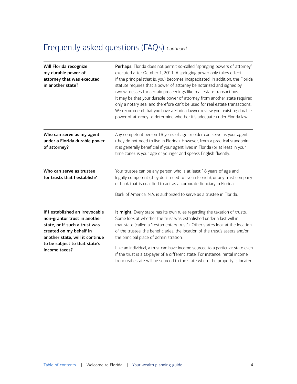# Frequently asked questions (FAQs) *Continued*

| Will Florida recognize<br>my durable power of<br>attorney that was executed<br>in another state?                                                                                                                 | Perhaps. Florida does not permit so-called "springing powers of attorney"<br>executed after October 1, 2011. A springing power only takes effect<br>if the principal (that is, you) becomes incapacitated. In addition, the Florida<br>statute requires that a power of attorney be notarized and signed by<br>two witnesses for certain proceedings like real estate transactions.<br>It may be that your durable power of attorney from another state required<br>only a notary seal and therefore can't be used for real estate transactions.<br>We recommend that you have a Florida lawyer review your existing durable<br>power of attorney to determine whether it's adequate under Florida law. |
|------------------------------------------------------------------------------------------------------------------------------------------------------------------------------------------------------------------|---------------------------------------------------------------------------------------------------------------------------------------------------------------------------------------------------------------------------------------------------------------------------------------------------------------------------------------------------------------------------------------------------------------------------------------------------------------------------------------------------------------------------------------------------------------------------------------------------------------------------------------------------------------------------------------------------------|
| Who can serve as my agent<br>under a Florida durable power<br>of attorney?                                                                                                                                       | Any competent person 18 years of age or older can serve as your agent<br>(they do not need to live in Florida). However, from a practical standpoint<br>it is generally beneficial if your agent lives in Florida (or at least in your<br>time zone), is your age or younger and speaks English fluently.                                                                                                                                                                                                                                                                                                                                                                                               |
| Who can serve as trustee<br>for trusts that I establish?                                                                                                                                                         | Your trustee can be any person who is at least 18 years of age and<br>legally competent (they don't need to live in Florida), or any trust company<br>or bank that is qualified to act as a corporate fiduciary in Florida.<br>Bank of America, N.A. is authorized to serve as a trustee in Florida.                                                                                                                                                                                                                                                                                                                                                                                                    |
| If I established an irrevocable<br>non-grantor trust in another<br>state, or if such a trust was<br>created on my behalf in<br>another state, will it continue<br>to be subject to that state's<br>income taxes? | It might. Every state has its own rules regarding the taxation of trusts.<br>Some look at whether the trust was established under a last will in<br>that state (called a "testamentary trust"). Other states look at the location<br>of the trustee, the beneficiaries, the location of the trust's assets and/or<br>the principal place of administration.<br>Like an individual, a trust can have income sourced to a particular state even<br>if the trust is a taxpayer of a different state. For instance, rental income<br>from real estate will be sourced to the state where the property is located.                                                                                           |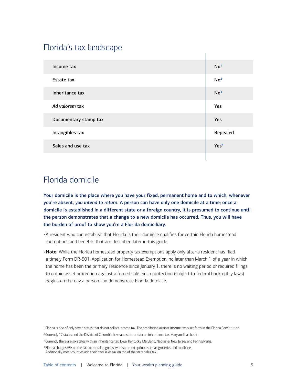# <span id="page-4-0"></span>Florida's tax landscape

| Income tax            | No <sup>1</sup>  |
|-----------------------|------------------|
| Estate tax            | No <sup>2</sup>  |
| Inheritance tax       | No <sup>3</sup>  |
| Ad valorem tax        | Yes              |
| Documentary stamp tax | Yes              |
| Intangibles tax       | Repealed         |
| Sales and use tax     | Yes <sup>4</sup> |
|                       |                  |

# Florida domicile

Your domicile is the place where you have your fixed, permanent home and to which, whenever you're absent, *you intend to return*. A person can have only one domicile at a time; once a domicile is established in a different state or a foreign country, it is presumed to continue until the person demonstrates that a change to a new domicile has occurred. Thus, you will have the burden of proof to show you're a Florida domiciliary.

• A resident who can establish that Florida is their domicile qualifies for certain Florida homestead exemptions and benefits that are described later in this guide.

• Note: While the Florida homestead property tax exemptions apply only after a resident has filed a timely Form DR-501, Application for Homestead Exemption, no later than March 1 of a year in which the home has been the primary residence since January 1, there is no waiting period or required filings to obtain asset protection against a forced sale. Such protection (subject to federal bankruptcy laws) begins on the day a person can demonstrate Florida domicile.

<span id="page-4-1"></span><sup>1</sup> Florida is one of only seven states that do not collect income tax. The prohibition against income tax is set forth in the Florida Constitution.

<span id="page-4-2"></span><sup>2</sup> Currently 17 states and the District of Columbia have an estate and/or an inheritance tax. Maryland has both.

<span id="page-4-3"></span> $^3$  Currently there are six states with an inheritance tax: Iowa, Kentucky, Maryland, Nebraska, New Jersey and Pennsylvania.

<span id="page-4-4"></span><sup>4</sup> Florida charges 6% on the sale or rental of goods, with some exceptions such as groceries and medicine. Additionally, most counties add their own sales tax on top of the state sales tax.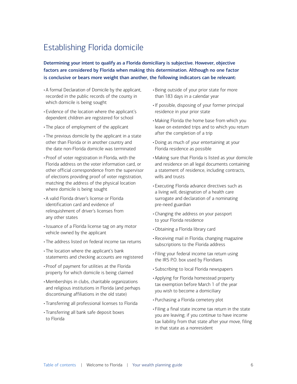# <span id="page-5-0"></span>Establishing Florida domicile

Determining your intent to qualify as a Florida domiciliary is subjective. However, objective factors are considered by Florida when making this determination. Although no one factor is conclusive or bears more weight than another, the following indicators can be relevant:

- A formal Declaration of Domicile by the applicant, recorded in the public records of the county in which domicile is being sought
- Evidence of the location where the applicant's dependent children are registered for school
- The place of employment of the applicant
- The previous domicile by the applicant in a state other than Florida or in another country and the date non-Florida domicile was terminated
- Proof of voter registration in Florida, with the Florida address on the voter information card, or other official correspondence from the supervisor of elections providing proof of voter registration, matching the address of the physical location where domicile is being sought
- A valid Florida driver's license or Florida identification card and evidence of relinquishment of driver's licenses from any other states
- Issuance of a Florida license tag on any motor vehicle owned by the applicant
- The address listed on federal income tax returns
- The location where the applicant's bank statements and checking accounts are registered
- Proof of payment for utilities at the Florida property for which domicile is being claimed
- Memberships in clubs, charitable organizations and religious institutions in Florida (and perhaps discontinuing affiliations in the old state)
- Transferring all professional licenses to Florida
- Transferring all bank safe deposit boxes to Florida
- Being outside of your prior state for more than 183 days in a calendar year
- If possible, disposing of your former principal residence in your prior state
- Making Florida the home base from which you leave on extended trips and to which you return after the completion of a trip
- Doing as much of your entertaining at your Florida residence as possible
- Making sure that Florida is listed as your domicile and residence on all legal documents containing a statement of residence, including contracts, wills and trusts
- Executing Florida advance directives such as a living will, designation of a health care surrogate and declaration of a nominating pre-need guardian
- Changing the address on your passport to your Florida residence
- •Obtaining a Florida library card
- Receiving mail in Florida; changing magazine subscriptions to the Florida address
- Filing your federal income tax return using the IRS P.O. box used by Floridians
- Subscribing to local Florida newspapers
- Applying for Florida homestead property tax exemption before March 1 of the year you wish to become a domiciliary
- Purchasing a Florida cemetery plot
- Filing a final state income tax return in the state you are leaving; if you continue to have income tax liability from that state after your move, filing in that state as a nonresident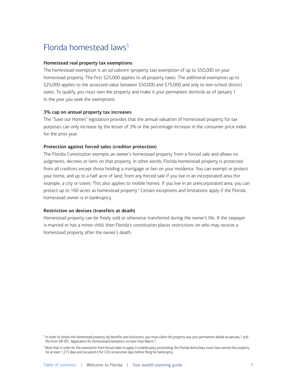# <span id="page-6-0"></span>Florida homestead laws<sup>[5](#page-6-1)</sup>

#### Homestead real property tax exemptions

The homestead exemption is an *ad valorem* (property tax) exemption of up to \$50,000 on your homestead property. The first \$25,000 applies to all property taxes. The additional exemption up to \$25,000 applies to the assessed value between \$50,000 and \$75,000 and only to non-school district taxes. To qualify, you must own the property and make it your permanent domicile as of January 1 in the year you seek the exemptions.

#### 3% cap on annual property tax increases

The "Save our Homes" legislation provides that the annual valuation of homestead property for tax purposes can only increase by the lesser of 3% or the percentage increase in the consumer price index for the prior year.

#### Protection against forced sales (creditor protection)

The Florida Constitution exempts an owner's homestead property from a forced sale and allows no judgments, decrees or liens on that property. In other words, Florida homestead property is protected from all creditors except those holding a mortgage or lien on your residence. You can exempt or protect your home, and up to a half acre of land, from any forced sale if you live in an incorporated area (for example, a city or town). This also applies to mobile homes. If you live in an unincorporated area, you can protect up to 160 acres as homestead property.<sup>6</sup> Certain exceptions and limitations apply if the Florida homestead owner is in bankruptcy.

#### Restriction on devises (transfers at death)

Homestead property can be freely sold or otherwise transferred during the owner's life. If the taxpayer is married or has a minor child, then Florida's constitution places restrictions on who may receive a homestead property after the owner's death.

<span id="page-6-1"></span> $^5$  In order to obtain the homestead property tax benefits and exclusions, you must claim the property was your permanent abode on January 1 and file Form DR-501, Application for Homestead Exemption, no later than March 1.

<span id="page-6-2"></span><sup>6</sup> Note that in order for the exemption from forced sales to apply in a bankruptcy proceeding, the Florida domiciliary must have owned the property for at least 1,215 days and occupied it for 720 consecutive days before filing for bankruptcy.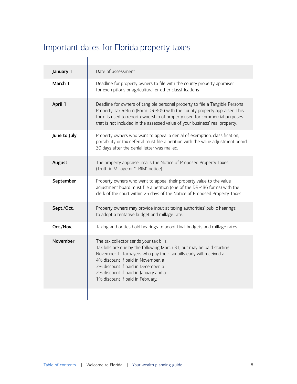# <span id="page-7-0"></span>Important dates for Florida property taxes

 $\begin{array}{c} \hline \end{array}$ 

| Date of assessment                                                                                                                                                                                                                                                                                                                              |
|-------------------------------------------------------------------------------------------------------------------------------------------------------------------------------------------------------------------------------------------------------------------------------------------------------------------------------------------------|
| Deadline for property owners to file with the county property appraiser<br>for exemptions or agricultural or other classifications                                                                                                                                                                                                              |
| Deadline for owners of tangible personal property to file a Tangible Personal<br>Property Tax Return (Form DR-405) with the county property appraiser. This<br>form is used to report ownership of property used for commercial purposes<br>that is not included in the assessed value of your business' real property.                         |
| Property owners who want to appeal a denial of exemption, classification,<br>portability or tax deferral must file a petition with the value adjustment board<br>30 days after the denial letter was mailed.                                                                                                                                    |
| The property appraiser mails the Notice of Proposed Property Taxes<br>(Truth in Millage or "TRIM" notice).                                                                                                                                                                                                                                      |
| Property owners who want to appeal their property value to the value<br>adjustment board must file a petition (one of the DR-486 forms) with the<br>clerk of the court within 25 days of the Notice of Proposed Property Taxes                                                                                                                  |
| Property owners may provide input at taxing authorities' public hearings<br>to adopt a tentative budget and millage rate.                                                                                                                                                                                                                       |
| Taxing authorities hold hearings to adopt final budgets and millage rates.                                                                                                                                                                                                                                                                      |
| The tax collector sends your tax bills.<br>Tax bills are due by the following March 31, but may be paid starting<br>November 1. Taxpayers who pay their tax bills early will received a<br>4% discount if paid in November, a<br>3% discount if paid in December, a<br>2% discount if paid in January and a<br>1% discount if paid in February. |
|                                                                                                                                                                                                                                                                                                                                                 |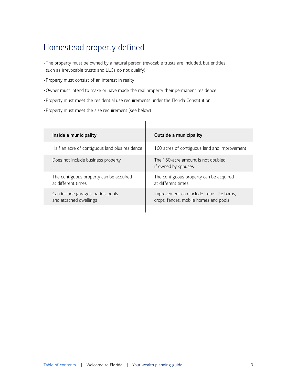# <span id="page-8-0"></span>Homestead property defined

- The property must be owned by a natural person (revocable trusts are included, but entities such as irrevocable trusts and LLCs do not qualify)
- Property must consist of an interest in realty
- •Owner must intend to make or have made the real property their permanent residence
- Property must meet the residential use requirements under the Florida Constitution
- Property must meet the size requirement (see below)

| Inside a municipality                                         | Outside a municipality                                                             |
|---------------------------------------------------------------|------------------------------------------------------------------------------------|
| Half an acre of contiguous land plus residence                | 160 acres of contiguous land and improvement                                       |
| Does not include business property                            | The 160-acre amount is not doubled<br>if owned by spouses                          |
| The contiguous property can be acquired<br>at different times | The contiguous property can be acquired<br>at different times                      |
| Can include garages, patios, pools<br>and attached dwellings  | Improvement can include items like barns,<br>crops, fences, mobile homes and pools |
|                                                               |                                                                                    |

 $\mathbf{r}$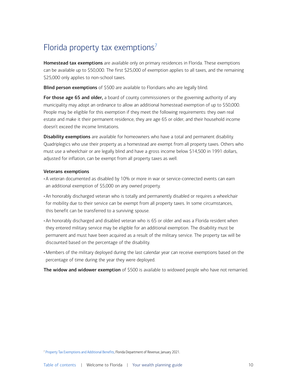# <span id="page-9-0"></span>Florida property tax exemptions<sup>[7](#page-9-1)</sup>

Homestead tax exemptions are available only on primary residences in Florida. These exemptions can be available up to \$50,000. The first \$25,000 of exemption applies to all taxes, and the remaining \$25,000 only applies to non-school taxes.

Blind person exemptions of \$500 are available to Floridians who are legally blind.

For those age 65 and older, a board of county commissioners or the governing authority of any municipality may adopt an ordinance to allow an additional homestead exemption of up to \$50,000. People may be eligible for this exemption if they meet the following requirements: they own real estate and make it their permanent residence, they are age 65 or older, and their household income doesn't exceed the income limitations.

**Disability exemptions** are available for homeowners who have a total and permanent disability. Quadriplegics who use their property as a homestead are exempt from all property taxes. Others who must use a wheelchair or are legally blind and have a gross income below \$14,500 in 1991 dollars, adjusted for inflation, can be exempt from all property taxes as well.

#### Veterans exemptions

- A veteran documented as disabled by 10% or more in war or service-connected events can earn an additional exemption of \$5,000 on any owned property.
- An honorably discharged veteran who is totally and permanently disabled or requires a wheelchair for mobility due to their service can be exempt from all property taxes. In some circumstances, this benefit can be transferred to a surviving spouse.
- An honorably discharged and disabled veteran who is 65 or older and was a Florida resident when they entered military service may be eligible for an additional exemption. The disability must be permanent and must have been acquired as a result of the military service. The property tax will be discounted based on the percentage of the disability.
- Members of the military deployed during the last calendar year can receive exemptions based on the percentage of time during the year they were deployed.

The widow and widower exemption of \$500 is available to widowed people who have not remarried.

<span id="page-9-1"></span><sup>7</sup> [Property Tax Exemptions and Additional Benefits](https://floridarevenue.com/property/Pages/Taxpayers_Exemptions.aspx), Florida Department of Revenue, January 2021.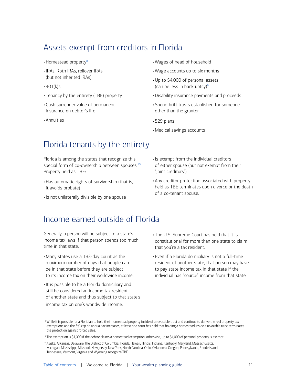# <span id="page-10-0"></span>Assets exempt from creditors in Florida

- Homestead property<sup>[8](#page-10-1)</sup>
- IRAs, Roth IRAs, rollover IRAs (but not inherited IRAs)
- $•401(k)s$
- Tenancy by the entirety (TBE) property
- Cash surrender value of permanent insurance on debtor's life
- Annuities
- Wages of head of household
- Wage accounts up to six months
- •Up to \$4,000 of personal assets (can be less in bankruptcy) $9$
- Disability insurance payments and proceeds
- Spendthrift trusts established for someone other than the grantor
- 529 plans
- Medical savings accounts

### Florida tenants by the entirety

Florida is among the states that recognize this special form of co-ownership between spouses.<sup>[10](#page-10-3)</sup> Property held as TBE:

- Has automatic rights of survivorship (that is, it avoids probate)
- Is not unilaterally divisible by one spouse
- Is exempt from the individual creditors of either spouse (but not exempt from their "joint creditors")
- Any creditor protection associated with property held as TBE terminates upon divorce or the death of a co-tenant spouse.

### Income earned outside of Florida

Generally, a person will be subject to a state's income tax laws if that person spends too much time in that state.

- Many states use a 183-day count as the maximum number of days that people can be in that state before they are subject to its income tax on their worldwide income.
- It is possible to be a Florida domiciliary and still be considered an income tax resident of another state and thus subject to that state's income tax on one's worldwide income.
- The U.S. Supreme Court has held that it is constitutional for more than one state to claim that you're a tax resident.
- Even if a Florida domiciliary is not a full-time resident of another state, that person may have to pay state income tax in that state if the individual has "source" income from that state.

<span id="page-10-1"></span> $^{\rm 8}$  While it is possible for a Floridian to hold their homestead property inside of a revocable trust and continue to derive the real property tax exemptions and the 3% cap on annual tax increases, at least one court has held that holding a homestead inside a revocable trust terminates the protection against forced sales.

<span id="page-10-2"></span><sup>9</sup> The exemption is \$1,000 if the debtor claims a homestead exemption; otherwise, up to \$4,000 of personal property is exempt.

<span id="page-10-3"></span><sup>&</sup>lt;sup>10</sup> Alaska, Arkansas, Delaware, the District of Columbia, Florida, Hawaii, Illinois, Indiana, Kentucky, Maryland, Massachusetts, Michigan, Mississippi, Missouri, New Jersey, New York, North Carolina, Ohio, Oklahoma, Oregon, Pennsylvania, Rhode Island, Tennessee, Vermont, Virginia and Wyoming recognize TBE.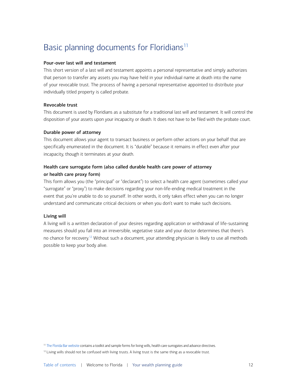# <span id="page-11-0"></span>Basic planning documents for Floridians<sup>11</sup>

#### Pour-over last will and testament

This short version of a last will and testament appoints a personal representative and simply authorizes that person to transfer any assets you may have held in your individual name at death into the name of your revocable trust. The process of having a personal representative appointed to distribute your individually titled property is called probate.

#### Revocable trust

This document is used by Floridians as a substitute for a traditional last will and testament. It will control the disposition of your assets upon your incapacity or death. It does not have to be filed with the probate court.

#### Durable power of attorney

This document allows your agent to transact business or perform other actions on your behalf that are specifically enumerated in the document. It is "durable" because it remains in effect even after your incapacity, though it terminates at your death.

#### Health care surrogate form (also called durable health care power of attorney or health care proxy form)

This form allows you (the "principal" or "declarant") to select a health care agent (sometimes called your "surrogate" or "proxy") to make decisions regarding your non-life-ending medical treatment in the event that you're unable to do so yourself. In other words, it only takes effect when you can no longer understand and communicate critical decisions or when you don't want to make such decisions.

#### Living will

A living will is a written declaration of your desires regarding application or withdrawal of life-sustaining measures should you fall into an irreversible, vegetative state and your doctor determines that there's no chance for recovery.<sup>[12](#page-11-2)</sup> Without such a document, your attending physician is likely to use all methods possible to keep your body alive.

<span id="page-11-1"></span><sup>11</sup> [The Florida Bar website](https://www.floridabar.org/public/consumer/consumer003/) contains a toolkit and sample forms for living wills, health care surrogates and advance directives.

<span id="page-11-2"></span><sup>12</sup> Living wills should not be confused with living trusts. A living trust is the same thing as a revocable trust.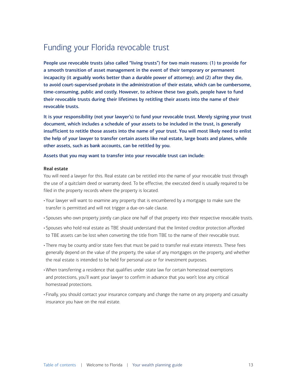# <span id="page-12-0"></span>Funding your Florida revocable trust

People use revocable trusts (also called "living trusts") for two main reasons: (1) to provide for a smooth transition of asset management in the event of their temporary or permanent incapacity (it arguably works better than a durable power of attorney); and (2) after they die, to avoid court-supervised probate in the administration of their estate, which can be cumbersome, time-consuming, public and costly. However, to achieve these two goals, people have to fund their revocable trusts during their lifetimes by retitling their assets into the name of their revocable trusts.

It is your responsibility (not your lawyer's) to fund your revocable trust. Merely signing your trust document, which includes a schedule of your assets to be included in the trust, is generally insufficient to retitle those assets into the name of your trust. You will most likely need to enlist the help of your lawyer to transfer certain assets like real estate, large boats and planes, while other assets, such as bank accounts, can be retitled by you.

Assets that you may want to transfer into your revocable trust can include:

#### Real estate

You will need a lawyer for this. Real estate can be retitled into the name of your revocable trust through the use of a quitclaim deed or warranty deed. To be effective, the executed deed is usually required to be filed in the property records where the property is located.

- Your lawyer will want to examine any property that is encumbered by a mortgage to make sure the transfer is permitted and will not trigger a due-on-sale clause.
- Spouses who own property jointly can place one half of that property into their respective revocable trusts.
- Spouses who hold real estate as TBE should understand that the limited creditor protection afforded to TBE assets can be lost when converting the title from TBE to the name of their revocable trust.
- There may be county and/or state fees that must be paid to transfer real estate interests. These fees generally depend on the value of the property, the value of any mortgages on the property, and whether the real estate is intended to be held for personal use or for investment purposes.
- When transferring a residence that qualifies under state law for certain homestead exemptions and protections, you'll want your lawyer to confirm in advance that you won't lose any critical homestead protections.
- Finally, you should contact your insurance company and change the name on any property and casualty insurance you have on the real estate.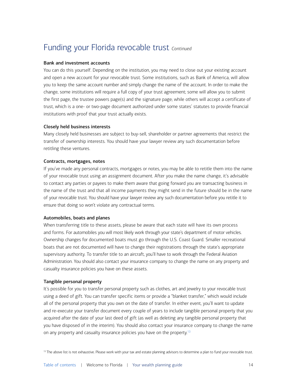# Funding your Florida revocable trust *Continued*

#### Bank and investment accounts

You can do this yourself. Depending on the institution, you may need to close out your existing account and open a new account for your revocable trust. Some institutions, such as Bank of America, will allow you to keep the same account number and simply change the name of the account. In order to make the change, some institutions will require a full copy of your trust agreement; some will allow you to submit the first page, the trustee powers page(s) and the signature page; while others will accept a certificate of trust, which is a one- or two-page document authorized under some states' statutes to provide financial institutions with proof that your trust actually exists.

#### Closely held business interests

Many closely held businesses are subject to buy-sell, shareholder or partner agreements that restrict the transfer of ownership interests. You should have your lawyer review any such documentation before retitling these ventures.

#### Contracts, mortgages, notes

If you've made any personal contracts, mortgages or notes, you may be able to retitle them into the name of your revocable trust using an assignment document. After you make the name change, it's advisable to contact any parties or payees to make them aware that going forward you are transacting business in the name of the trust and that all income payments they might send in the future should be in the name of your revocable trust. You should have your lawyer review any such documentation before you retitle it to ensure that doing so won't violate any contractual terms.

#### Automobiles, boats and planes

When transferring title to these assets, please be aware that each state will have its own process and forms. For automobiles you will most likely work through your state's department of motor vehicles. Ownership changes for documented boats must go through the U.S. Coast Guard. Smaller recreational boats that are not documented will have to change their registrations through the state's appropriate supervisory authority. To transfer title to an aircraft, you'll have to work through the Federal Aviation Administration. You should also contact your insurance company to change the name on any property and casualty insurance policies you have on these assets.

#### Tangible personal property

It's possible for you to transfer personal property such as clothes, art and jewelry to your revocable trust using a deed of gift. You can transfer specific items or provide a "blanket transfer," which would include all of the personal property that you own on the date of transfer. In either event, you'll want to update and re-execute your transfer document every couple of years to include tangible personal property that you acquired after the date of your last deed of gift (as well as deleting any tangible personal property that you have disposed of in the interim). You should also contact your insurance company to change the name on any property and casualty insurance policies you have on the property.<sup>[13](#page-13-0)</sup>

<span id="page-13-0"></span><sup>13</sup> The above list is not exhaustive. Please work with your tax and estate planning advisors to determine a plan to fund your revocable trust.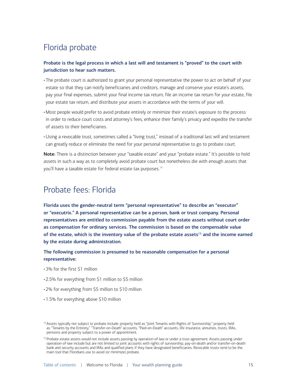# <span id="page-14-0"></span>Florida probate

#### Probate is the legal process in which a last will and testament is "proved" to the court with jurisdiction to hear such matters.

- The probate court is authorized to grant your personal representative the power to act on behalf of your estate so that they can notify beneficiaries and creditors, manage and conserve your estate's assets, pay your final expenses, submit your final income tax return, file an income tax return for your estate, file your estate tax return, and distribute your assets in accordance with the terms of your will.
- Most people would prefer to avoid probate entirely or minimize their estate's exposure to the process in order to reduce court costs and attorney's fees, enhance their family's privacy and expedite the transfer of assets to their beneficiaries.
- •Using a revocable trust, sometimes called a "living trust," instead of a traditional last will and testament can greatly reduce or eliminate the need for your personal representative to go to probate court.

Note: There is a distinction between your "taxable estate" and your "probate estate." It's possible to hold assets in such a way as to completely avoid probate court but nonetheless die with enough assets that you'll have a taxable estate for federal estate tax purposes.<sup>[14](#page-14-1)</sup>

# Probate fees: Florida

Florida uses the gender-neutral term "personal representative" to describe an "executor" or "executrix." A personal representative can be a person, bank or trust company. Personal representatives are entitled to commission payable from the estate assets without court order as compensation for ordinary services. The commission is based on the compensable value of the estate, which is the inventory value of the probate estate assets<sup>[15](#page-14-2)</sup> and the income earned by the estate during administration.

#### The following commission is presumed to be reasonable compensation for a personal representative:

- 3% for the first \$1 million
- 2.5% for everything from \$1 million to \$5 million
- 2% for everything from \$5 million to \$10 million
- 1.5% for everything above \$10 million

<span id="page-14-1"></span><sup>&</sup>lt;sup>14</sup> Assets typically not subject to probate include: property held as "Joint Tenants with Rights of Survivorship," property held as "Tenants by the Entirety," "Transfer-on-Death" accounts, "Paid-on-Death" accounts, life insurance, annuities, trusts, IRAs, pensions and property subject to a power of appointment.

<span id="page-14-2"></span><sup>&</sup>lt;sup>15</sup> Probate estate assets would not include assets passing by operation-of-law or under a trust agreement. Assets passing under operation-of-law include but are not limited to joint accounts with rights of survivorship, pay-on-death and/or transfer-on-death bank and security accounts and IRAs and qualified plans if they have designated beneficiaries. Revocable trusts tend to be the main tool that Floridians use to avoid (or minimize) probate.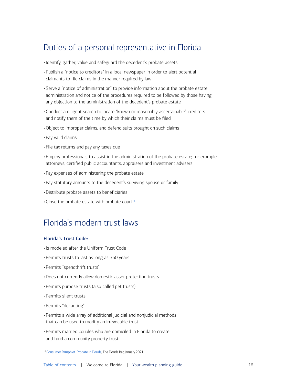# <span id="page-15-0"></span>Duties of a personal representative in Florida

- Identify, gather, value and safeguard the decedent's probate assets
- Publish a "notice to creditors" in a local newspaper in order to alert potential claimants to file claims in the manner required by law
- Serve a "notice of administration" to provide information about the probate estate administration and notice of the procedures required to be followed by those having any objection to the administration of the decedent's probate estate
- Conduct a diligent search to locate "known or reasonably ascertainable" creditors and notify them of the time by which their claims must be filed
- •Object to improper claims, and defend suits brought on such claims
- Pay valid claims
- File tax returns and pay any taxes due
- Employ professionals to assist in the administration of the probate estate; for example, attorneys, certified public accountants, appraisers and investment advisers
- Pay expenses of administering the probate estate
- Pay statutory amounts to the decedent's surviving spouse or family
- Distribute probate assets to beneficiaries
- Close the probate estate with probate court<sup>[16](#page-15-1)</sup>

# Florida's modern trust laws

#### Florida's Trust Code:

- Is modeled after the Uniform Trust Code
- Permits trusts to last as long as 360 years
- Permits "spendthrift trusts"
- Does not currently allow domestic asset protection trusts
- Permits purpose trusts (also called pet trusts)
- Permits silent trusts
- Permits "decanting"
- Permits a wide array of additional judicial and nonjudicial methods that can be used to modify an irrevocable trust
- Permits married couples who are domiciled in Florida to create and fund a community property trust

<span id="page-15-1"></span><sup>&</sup>lt;sup>16</sup> [Consumer Pamphlet: Probate in Florida](https://www.floridabar.org/public/consumer/pamphlet026/), The Florida Bar, January 2021.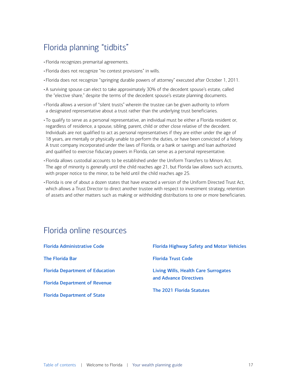# <span id="page-16-0"></span>Florida planning "tidbits"

- Florida recognizes premarital agreements.
- Florida does not recognize "no contest provisions" in wills.
- Florida does not recognize "springing durable powers of attorney" executed after October 1, 2011.
- A surviving spouse can elect to take approximately 30% of the decedent spouse's estate, called the "elective share," despite the terms of the decedent spouse's estate planning documents.
- Florida allows a version of "silent trusts" wherein the trustee can be given authority to inform a designated representative about a trust rather than the underlying trust beneficiaries.
- To qualify to serve as a personal representative, an individual must be either a Florida resident or, regardless of residence, a spouse, sibling, parent, child or other close relative of the decedent. Individuals are not qualified to act as personal representatives if they are either under the age of 18 years, are mentally or physically unable to perform the duties, or have been convicted of a felony. A trust company incorporated under the laws of Florida, or a bank or savings and loan authorized and qualified to exercise fiduciary powers in Florida, can serve as a personal representative.
- Florida allows custodial accounts to be established under the Uniform Transfers to Minors Act. The age of minority is generally until the child reaches age 21, but Florida law allows such accounts, with proper notice to the minor, to be held until the child reaches age 25.
- Florida is one of about a dozen states that have enacted a version of the Uniform Directed Trust Act, which allows a Trust Director to direct another trustee with respect to investment strategy, retention of assets and other matters such as making or withholding distributions to one or more beneficiaries.

# Florida online resources

| <b>Florida Administrative Code</b>     | <b>Florida Highway Safety and Motor Vehicles</b> |
|----------------------------------------|--------------------------------------------------|
| <b>The Florida Bar</b>                 | <b>Florida Trust Code</b>                        |
| <b>Florida Department of Education</b> | Living Wills, Health Care Surrogates             |
| <b>Florida Department of Revenue</b>   | and Advance Directives                           |
| <b>Florida Department of State</b>     | The 2021 Florida Statutes                        |